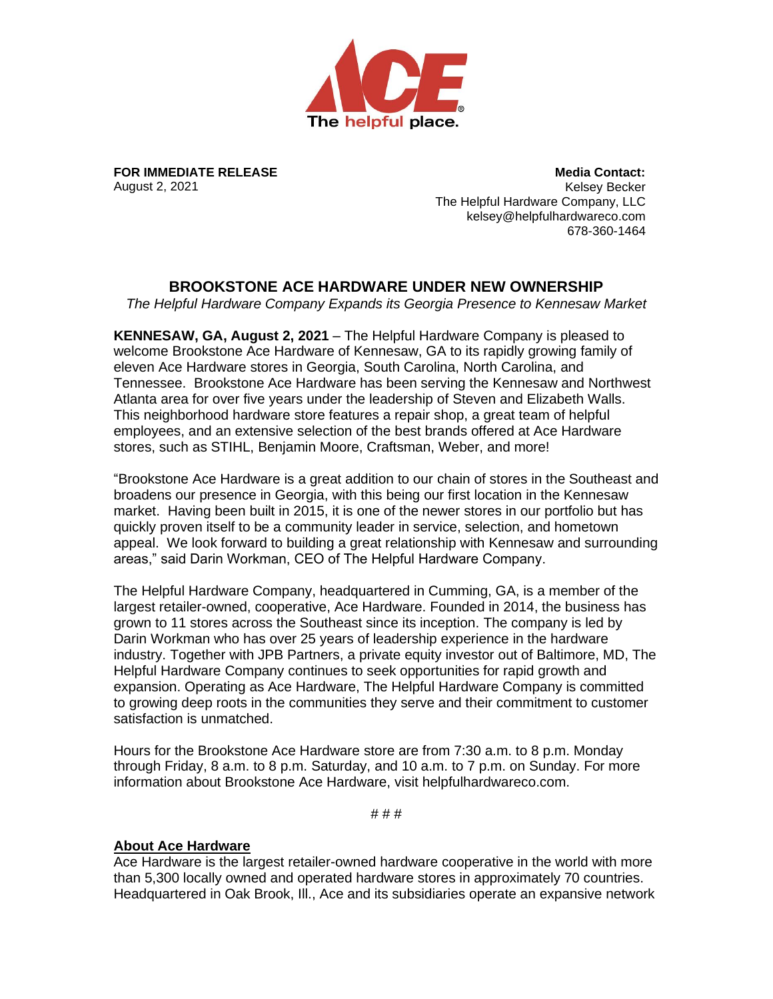

**FOR IMMEDIATE RELEASE** August 2, 2021

**Media Contact:** Kelsey Becker The Helpful Hardware Company, LLC kelsey@helpfulhardwareco.com 678-360-1464

## **BROOKSTONE ACE HARDWARE UNDER NEW OWNERSHIP**

*The Helpful Hardware Company Expands its Georgia Presence to Kennesaw Market*

**KENNESAW, GA, August 2, 2021** – The Helpful Hardware Company is pleased to welcome Brookstone Ace Hardware of Kennesaw, GA to its rapidly growing family of eleven Ace Hardware stores in Georgia, South Carolina, North Carolina, and Tennessee. Brookstone Ace Hardware has been serving the Kennesaw and Northwest Atlanta area for over five years under the leadership of Steven and Elizabeth Walls. This neighborhood hardware store features a repair shop, a great team of helpful employees, and an extensive selection of the best brands offered at Ace Hardware stores, such as STIHL, Benjamin Moore, Craftsman, Weber, and more!

"Brookstone Ace Hardware is a great addition to our chain of stores in the Southeast and broadens our presence in Georgia, with this being our first location in the Kennesaw market. Having been built in 2015, it is one of the newer stores in our portfolio but has quickly proven itself to be a community leader in service, selection, and hometown appeal. We look forward to building a great relationship with Kennesaw and surrounding areas," said Darin Workman, CEO of The Helpful Hardware Company.

The Helpful Hardware Company, headquartered in Cumming, GA, is a member of the largest retailer-owned, cooperative, Ace Hardware. Founded in 2014, the business has grown to 11 stores across the Southeast since its inception. The company is led by Darin Workman who has over 25 years of leadership experience in the hardware industry. Together with JPB Partners, a private equity investor out of Baltimore, MD, The Helpful Hardware Company continues to seek opportunities for rapid growth and expansion. Operating as Ace Hardware, The Helpful Hardware Company is committed to growing deep roots in the communities they serve and their commitment to customer satisfaction is unmatched.

Hours for the Brookstone Ace Hardware store are from 7:30 a.m. to 8 p.m. Monday through Friday, 8 a.m. to 8 p.m. Saturday, and 10 a.m. to 7 p.m. on Sunday. For more information about Brookstone Ace Hardware, visit helpfulhardwareco.com.

# # #

## **About Ace Hardware**

Ace Hardware is the largest retailer-owned hardware cooperative in the world with more than 5,300 locally owned and operated hardware stores in approximately 70 countries. Headquartered in Oak Brook, Ill., Ace and its subsidiaries operate an expansive network